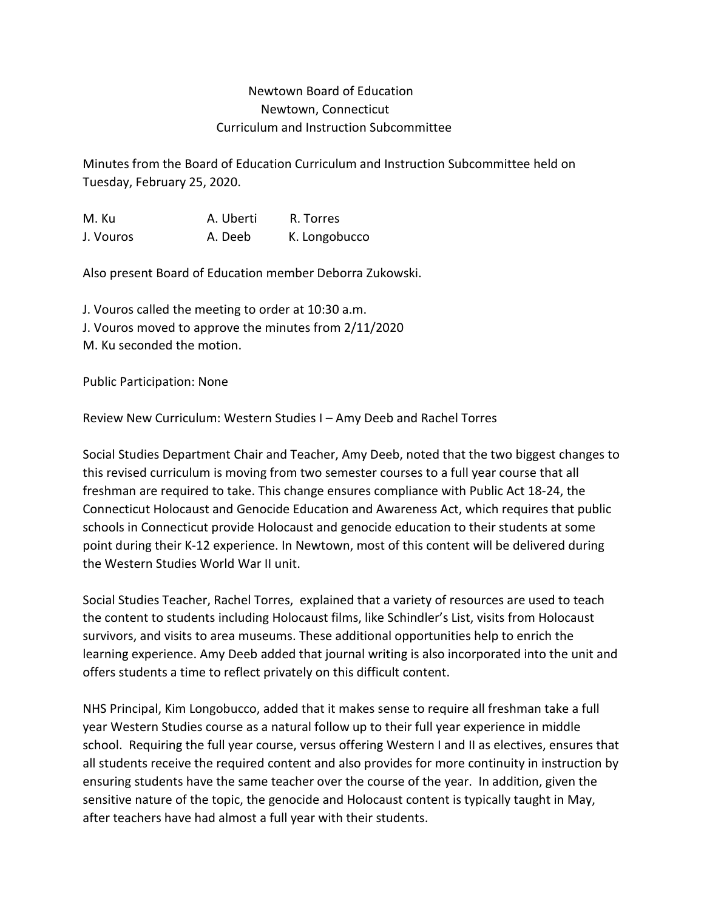## Newtown Board of Education Newtown, Connecticut Curriculum and Instruction Subcommittee

Minutes from the Board of Education Curriculum and Instruction Subcommittee held on Tuesday, February 25, 2020.

M. Ku A. Uberti R. Torres J. Vouros A. Deeb K. Longobucco

Also present Board of Education member Deborra Zukowski.

J. Vouros called the meeting to order at 10:30 a.m. J. Vouros moved to approve the minutes from 2/11/2020 M. Ku seconded the motion.

Public Participation: None

Review New Curriculum: Western Studies I – Amy Deeb and Rachel Torres

Social Studies Department Chair and Teacher, Amy Deeb, noted that the two biggest changes to this revised curriculum is moving from two semester courses to a full year course that all freshman are required to take. This change ensures compliance with Public Act 18-24, the Connecticut Holocaust and Genocide Education and Awareness Act, which requires that public schools in Connecticut provide Holocaust and genocide education to their students at some point during their K-12 experience. In Newtown, most of this content will be delivered during the Western Studies World War II unit.

Social Studies Teacher, Rachel Torres, explained that a variety of resources are used to teach the content to students including Holocaust films, like Schindler's List, visits from Holocaust survivors, and visits to area museums. These additional opportunities help to enrich the learning experience. Amy Deeb added that journal writing is also incorporated into the unit and offers students a time to reflect privately on this difficult content.

NHS Principal, Kim Longobucco, added that it makes sense to require all freshman take a full year Western Studies course as a natural follow up to their full year experience in middle school. Requiring the full year course, versus offering Western I and II as electives, ensures that all students receive the required content and also provides for more continuity in instruction by ensuring students have the same teacher over the course of the year. In addition, given the sensitive nature of the topic, the genocide and Holocaust content is typically taught in May, after teachers have had almost a full year with their students.